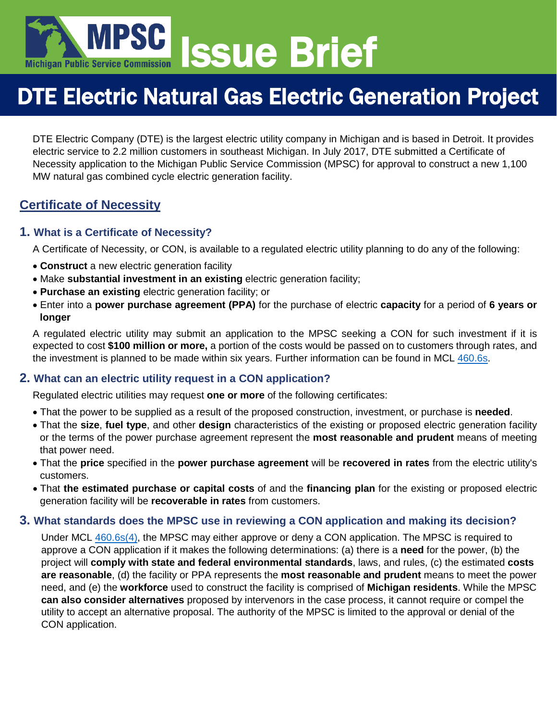

# DTE Electric Natural Gas Electric Generation Project

DTE Electric Company (DTE) is the largest electric utility company in Michigan and is based in Detroit. It provides electric service to 2.2 million customers in southeast Michigan. In July 2017, DTE submitted a Certificate of Necessity application to the Michigan Public Service Commission (MPSC) for approval to construct a new 1,100 MW natural gas combined cycle electric generation facility.

## **Certificate of Necessity**

#### **1. What is a Certificate of Necessity?**

A Certificate of Necessity, or CON, is available to a regulated electric utility planning to do any of the following:

- **Construct** a new electric generation facility
- Make **substantial investment in an existing** electric generation facility;
- **Purchase an existing** electric generation facility; or
- Enter into a **power purchase agreement (PPA)** for the purchase of electric **capacity** for a period of **6 years or longer**

A regulated electric utility may submit an application to the MPSC seeking a CON for such investment if it is expected to cost **\$100 million or more,** a portion of the costs would be passed on to customers through rates, and the investment is planned to be made within six years. Further information can be found in MCL [460.6s.](http://www.legislature.mi.gov/(S(c5hq35hkwkgcrsxqmqjrvut3))/mileg.aspx?page=getObject&objectName=mcl-460-6s)

#### **2. What can an electric utility request in a CON application?**

Regulated electric utilities may request **one or more** of the following certificates:

- That the power to be supplied as a result of the proposed construction, investment, or purchase is **needed**.
- That the **size**, **fuel type**, and other **design** characteristics of the existing or proposed electric generation facility or the terms of the power purchase agreement represent the **most reasonable and prudent** means of meeting that power need.
- That the **price** specified in the **power purchase agreement** will be **recovered in rates** from the electric utility's customers.
- That **the estimated purchase or capital costs** of and the **financing plan** for the existing or proposed electric generation facility will be **recoverable in rates** from customers.

#### **3. What standards does the MPSC use in reviewing a CON application and making its decision?**

Under MCL [460.6s\(4\),](http://www.legislature.mi.gov/(S(1ztmdesbsckgu0wjtfsiasfq))/mileg.aspx?page=getObject&objectName=mcl-460-6s) the MPSC may either approve or deny a CON application. The MPSC is required to approve a CON application if it makes the following determinations: (a) there is a **need** for the power, (b) the project will **comply with state and federal environmental standards**, laws, and rules, (c) the estimated **costs are reasonable**, (d) the facility or PPA represents the **most reasonable and prudent** means to meet the power need, and (e) the **workforce** used to construct the facility is comprised of **Michigan residents**. While the MPSC **can also consider alternatives** proposed by intervenors in the case process, it cannot require or compel the utility to accept an alternative proposal. The authority of the MPSC is limited to the approval or denial of the CON application.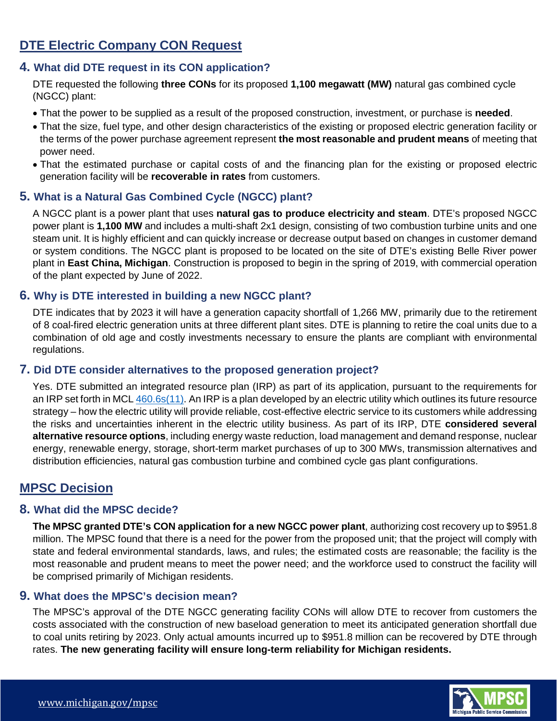# **DTE Electric Company CON Request**

#### **4. What did DTE request in its CON application?**

DTE requested the following **three CONs** for its proposed **1,100 megawatt (MW)** natural gas combined cycle (NGCC) plant:

- That the power to be supplied as a result of the proposed construction, investment, or purchase is **needed**.
- That the size, fuel type, and other design characteristics of the existing or proposed electric generation facility or the terms of the power purchase agreement represent **the most reasonable and prudent means** of meeting that power need.
- That the estimated purchase or capital costs of and the financing plan for the existing or proposed electric generation facility will be **recoverable in rates** from customers.

#### **5. What is a Natural Gas Combined Cycle (NGCC) plant?**

A NGCC plant is a power plant that uses **natural gas to produce electricity and steam**. DTE's proposed NGCC power plant is **1,100 MW** and includes a multi-shaft 2x1 design, consisting of two combustion turbine units and one steam unit. It is highly efficient and can quickly increase or decrease output based on changes in customer demand or system conditions. The NGCC plant is proposed to be located on the site of DTE's existing Belle River power plant in **East China, Michigan**. Construction is proposed to begin in the spring of 2019, with commercial operation of the plant expected by June of 2022.

#### **6. Why is DTE interested in building a new NGCC plant?**

DTE indicates that by 2023 it will have a generation capacity shortfall of 1,266 MW, primarily due to the retirement of 8 coal-fired electric generation units at three different plant sites. DTE is planning to retire the coal units due to a combination of old age and costly investments necessary to ensure the plants are compliant with environmental regulations.

#### **7. Did DTE consider alternatives to the proposed generation project?**

Yes. DTE submitted an integrated resource plan (IRP) as part of its application, pursuant to the requirements for an IRP set forth in MCL [460.6s\(11\).](http://www.legislature.mi.gov/(S(cm4bd1d1y1rw5y4t2qjb5vww))/mileg.aspx?page=getObject&objectName=mcl-460-6s) An IRP is a plan developed by an electric utility which outlines its future resource strategy – how the electric utility will provide reliable, cost-effective electric service to its customers while addressing the risks and uncertainties inherent in the electric utility business. As part of its IRP, DTE **considered several alternative resource options**, including energy waste reduction, load management and demand response, nuclear energy, renewable energy, storage, short-term market purchases of up to 300 MWs, transmission alternatives and distribution efficiencies, natural gas combustion turbine and combined cycle gas plant configurations.

### **MPSC Decision**

#### **8. What did the MPSC decide?**

**The MPSC granted DTE's CON application for a new NGCC power plant**, authorizing cost recovery up to \$951.8 million. The MPSC found that there is a need for the power from the proposed unit; that the project will comply with state and federal environmental standards, laws, and rules; the estimated costs are reasonable; the facility is the most reasonable and prudent means to meet the power need; and the workforce used to construct the facility will be comprised primarily of Michigan residents.

#### **9. What does the MPSC's decision mean?**

The MPSC's approval of the DTE NGCC generating facility CONs will allow DTE to recover from customers the costs associated with the construction of new baseload generation to meet its anticipated generation shortfall due to coal units retiring by 2023. Only actual amounts incurred up to \$951.8 million can be recovered by DTE through rates. **The new generating facility will ensure long-term reliability for Michigan residents.**

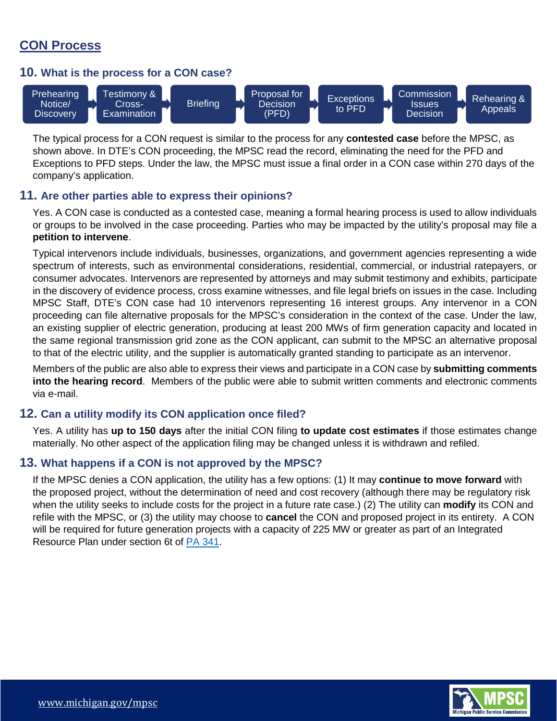# **CON Process**

#### **10. What is the process for a CON case?**



The typical process for a CON request is similar to the process for any **contested case** before the MPSC, as shown above. In DTE's CON proceeding, the MPSC read the record, eliminating the need for the PFD and Exceptions to PFD steps. Under the law, the MPSC must issue a final order in a CON case within 270 days of the company's application.

#### **11. Are other parties able to express their opinions?**

Yes. A CON case is conducted as a contested case, meaning a formal hearing process is used to allow individuals or groups to be involved in the case proceeding. Parties who may be impacted by the utility's proposal may file a **petition to intervene**.

Typical intervenors include individuals, businesses, organizations, and government agencies representing a wide spectrum of interests, such as environmental considerations, residential, commercial, or industrial ratepayers, or consumer advocates. Intervenors are represented by attorneys and may submit testimony and exhibits, participate in the discovery of evidence process, cross examine witnesses, and file legal briefs on issues in the case. Including MPSC Staff, DTE's CON case had 10 intervenors representing 16 interest groups. Any intervenor in a CON proceeding can file alternative proposals for the MPSC's consideration in the context of the case. Under the law, an existing supplier of electric generation, producing at least 200 MWs of firm generation capacity and located in the same regional transmission grid zone as the CON applicant, can submit to the MPSC an alternative proposal to that of the electric utility, and the supplier is automatically granted standing to participate as an intervenor.

Members of the public are also able to express their views and participate in a CON case by **submitting comments into the hearing record**. Members of the public were able to submit written comments and electronic comments via e-mail.

#### **12. Can a utility modify its CON application once filed?**

Yes. A utility has **up to 150 days** after the initial CON filing **to update cost estimates** if those estimates change materially. No other aspect of the application filing may be changed unless it is withdrawn and refiled.

#### **13. What happens if a CON is not approved by the MPSC?**

If the MPSC denies a CON application, the utility has a few options: (1) It may **continue to move forward** with the proposed project, without the determination of need and cost recovery (although there may be regulatory risk when the utility seeks to include costs for the project in a future rate case.) (2) The utility can **modify** its CON and refile with the MPSC, or (3) the utility may choose to **cancel** the CON and proposed project in its entirety. A CON will be required for future generation projects with a capacity of 225 MW or greater as part of an Integrated Resource Plan under section 6t of [PA 341.](https://www.legislature.mi.gov/documents/2015-2016/publicact/htm/2016-PA-0341.htm)

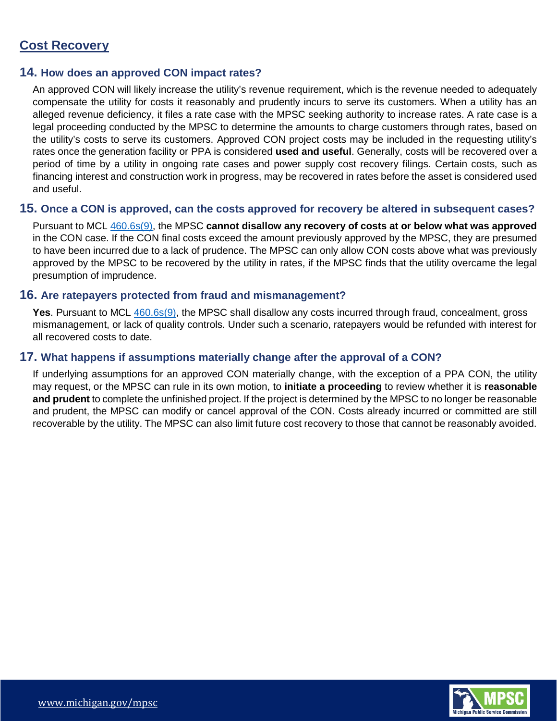# **Cost Recovery**

#### **14. How does an approved CON impact rates?**

An approved CON will likely increase the utility's revenue requirement, which is the revenue needed to adequately compensate the utility for costs it reasonably and prudently incurs to serve its customers. When a utility has an alleged revenue deficiency, it files a rate case with the MPSC seeking authority to increase rates. A rate case is a legal proceeding conducted by the MPSC to determine the amounts to charge customers through rates, based on the utility's costs to serve its customers. Approved CON project costs may be included in the requesting utility's rates once the generation facility or PPA is considered **used and useful**. Generally, costs will be recovered over a period of time by a utility in ongoing rate cases and power supply cost recovery filings. Certain costs, such as financing interest and construction work in progress, may be recovered in rates before the asset is considered used and useful.

#### **15. Once a CON is approved, can the costs approved for recovery be altered in subsequent cases?**

Pursuant to MCL [460.6s\(9\),](http://www.legislature.mi.gov/(S(1ztmdesbsckgu0wjtfsiasfq))/mileg.aspx?page=getObject&objectName=mcl-460-6s) the MPSC **cannot disallow any recovery of costs at or below what was approved** in the CON case. If the CON final costs exceed the amount previously approved by the MPSC, they are presumed to have been incurred due to a lack of prudence. The MPSC can only allow CON costs above what was previously approved by the MPSC to be recovered by the utility in rates, if the MPSC finds that the utility overcame the legal presumption of imprudence.

#### **16. Are ratepayers protected from fraud and mismanagement?**

**Yes**. Pursuant to MCL [460.6s\(9\),](http://www.legislature.mi.gov/(S(1ztmdesbsckgu0wjtfsiasfq))/mileg.aspx?page=getObject&objectName=mcl-460-6s) the MPSC shall disallow any costs incurred through fraud, concealment, gross mismanagement, or lack of quality controls. Under such a scenario, ratepayers would be refunded with interest for all recovered costs to date.

#### **17. What happens if assumptions materially change after the approval of a CON?**

If underlying assumptions for an approved CON materially change, with the exception of a PPA CON, the utility may request, or the MPSC can rule in its own motion, to **initiate a proceeding** to review whether it is **reasonable and prudent** to complete the unfinished project. If the project is determined by the MPSC to no longer be reasonable and prudent, the MPSC can modify or cancel approval of the CON. Costs already incurred or committed are still recoverable by the utility. The MPSC can also limit future cost recovery to those that cannot be reasonably avoided.